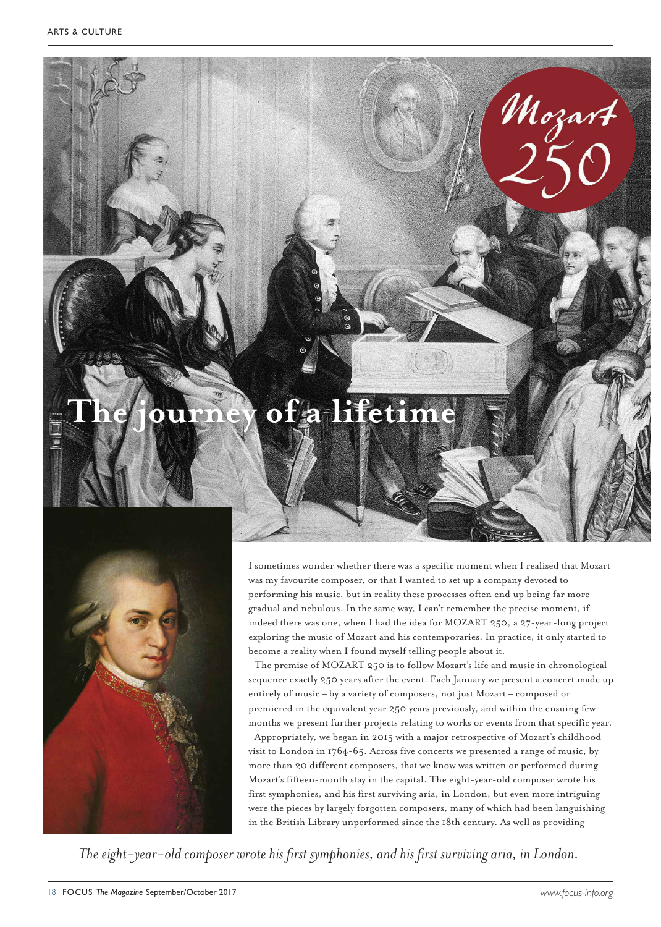## **The journey of a lifetime**



I sometimes wonder whether there was a specific moment when I realised that Mozart was my favourite composer, or that I wanted to set up a company devoted to performing his music, but in reality these processes often end up being far more gradual and nebulous. In the same way, I can't remember the precise moment, if indeed there was one, when I had the idea for MOZART 250, a 27-year-long project exploring the music of Mozart and his contemporaries. In practice, it only started to become a reality when I found myself telling people about it.

The premise of MOZART 250 is to follow Mozart's life and music in chronological sequence exactly 250 years after the event. Each January we present a concert made up entirely of music – by a variety of composers, not just Mozart – composed or premiered in the equivalent year 250 years previously, and within the ensuing few months we present further projects relating to works or events from that specific year.

Appropriately, we began in 2015 with a major retrospective of Mozart's childhood visit to London in 1764-65. Across five concerts we presented a range of music, by more than 20 different composers, that we know was written or performed during Mozart's fifteen-month stay in the capital. The eight-year-old composer wrote his first symphonies, and his first surviving aria, in London, but even more intriguing were the pieces by largely forgotten composers, many of which had been languishing in the British Library unperformed since the 18th century. As well as providing

*The* eight-year-old composer wrote his first symphonies, and his first surviving aria, in London.

Mozart